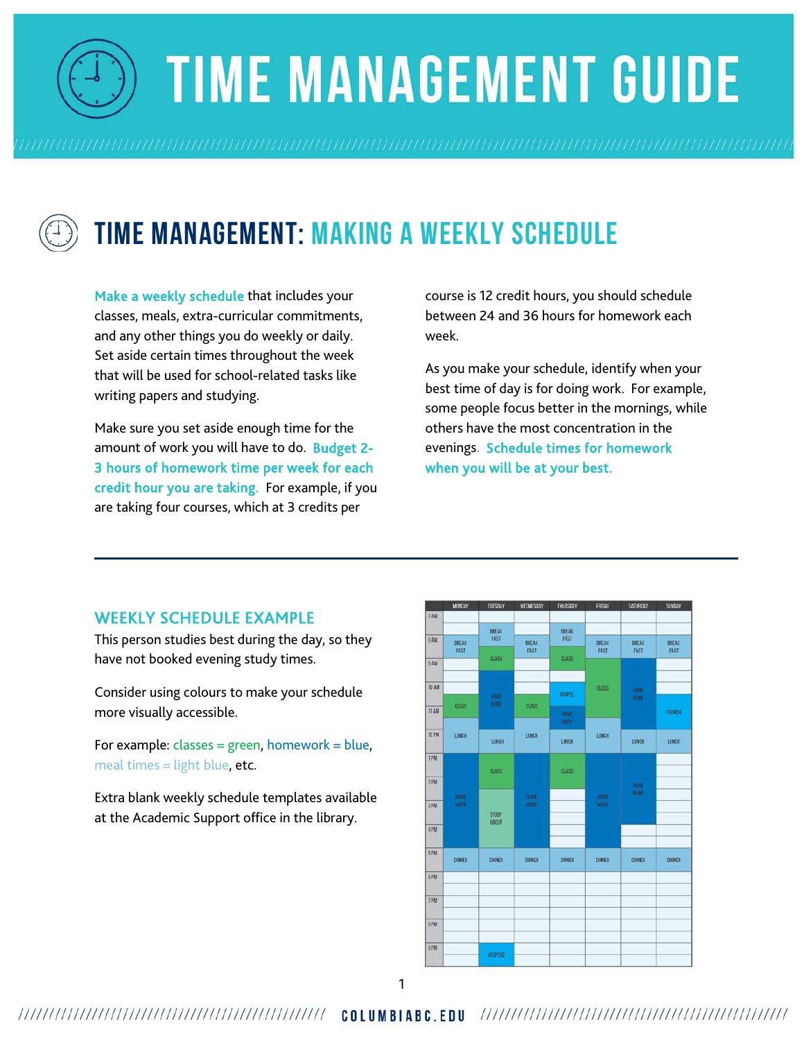

# **TIME MANAGEMENT GUIDE**



# **Time Management: Making a Weekly Schedule**

Make a weekly schedule that includes your classes, meals, extra-curricular commitments, and any other things you do weekly or daily. Set aside certain times throughout the week that will be used for school-related tasks like writing papers and studying.

Make sure you set aside enough time for the amount of work you will have to do. Budget 2- 3 hours of homework time per week for each credit hour you are taking. For example, if you are taking four courses, which at 3 credits per

course is 12 credit hours, you should schedule between 24 and 36 hours for homework each week.

As you make your schedule, identify when your best time of day is for doing work. For example, some people focus better in the mornings, while others have the most concentration in the evenings. Schedule times for homework when you will be at your best.

#### WEEKLY SCHEDULE EXAMPLE

This person studies best during the day, so they have not booked evening study times.

Consider using colours to make your schedule more visually accessible.

For example: classes = green, homework = blue, meal times = light blue, etc.

Extra blank weekly schedule templates available at the Academic Support office in the library.

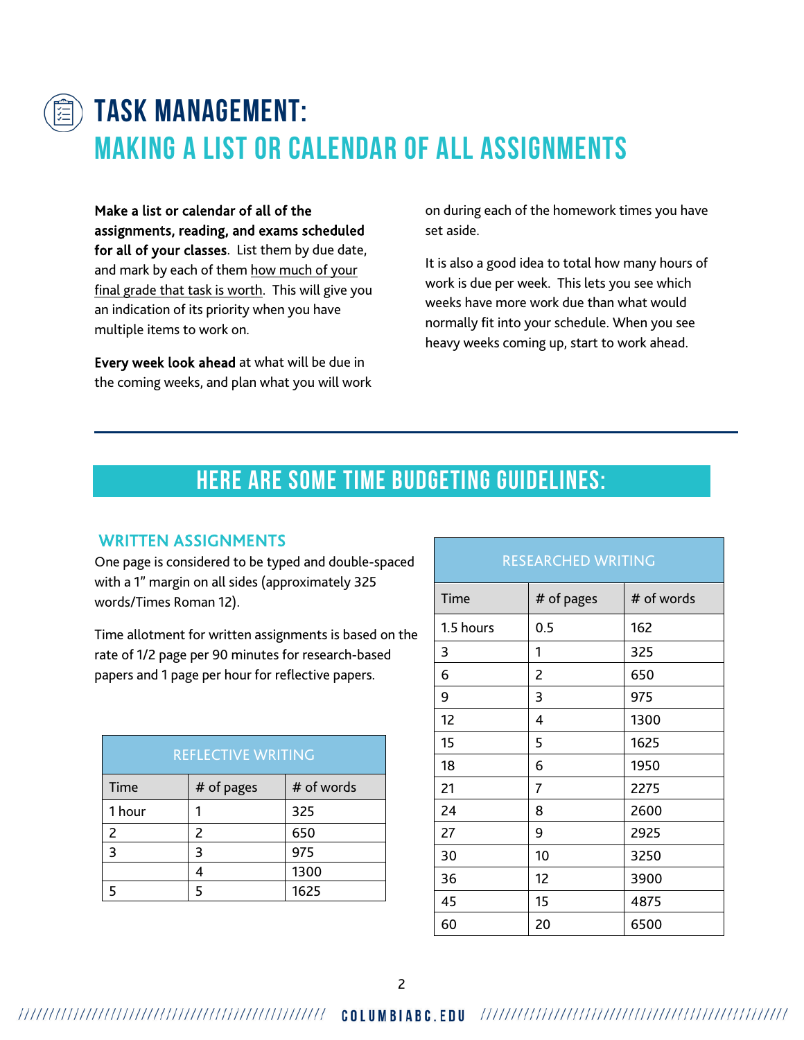

# **Task Management: Making a List or Calendar of ALL Assignments**

Make a list or calendar of all of the assignments, reading, and exams scheduled for all of your classes. List them by due date, and mark by each of them how much of your final grade that task is worth. This will give you an indication of its priority when you have multiple items to work on.

Every week look ahead at what will be due in the coming weeks, and plan what you will work

on during each of the homework times you have set aside.

It is also a good idea to total how many hours of work is due per week. This lets you see which weeks have more work due than what would normally fit into your schedule. When you see heavy weeks coming up, start to work ahead.

### **Here are some time budgeting guidelines:**

#### WRITTEN ASSIGNMENTS

One page is considered to be typed and double-spaced with a 1" margin on all sides (approximately 325 words/Times Roman 12).

Time allotment for written assignments is based on the rate of 1/2 page per 90 minutes for research-based papers and 1 page per hour for reflective papers.

| <b>REFLECTIVE WRITING</b> |            |            |  |  |
|---------------------------|------------|------------|--|--|
| Time                      | # of pages | # of words |  |  |
| 1 hour                    |            | 325        |  |  |
| 2                         | 2          | 650        |  |  |
| ς                         | 3          | 975        |  |  |
|                           | 4          | 1300       |  |  |
|                           | 5          | 1625       |  |  |

| <b>RESEARCHED WRITING</b> |            |            |  |  |
|---------------------------|------------|------------|--|--|
| Time                      | # of pages | # of words |  |  |
| 1.5 hours                 | 0.5        | 162        |  |  |
| 3                         | 1          | 325        |  |  |
| 6                         | 2          | 650        |  |  |
| 9                         | 3          | 975        |  |  |
| 12                        | 4          | 1300       |  |  |
| 15                        | 5          | 1625       |  |  |
| 18                        | 6          | 1950       |  |  |
| 21                        | 7          | 2275       |  |  |
| 24                        | 8          | 2600       |  |  |
| 27                        | 9          | 2925       |  |  |
| 30                        | 10         | 3250       |  |  |
| 36                        | 12         | 3900       |  |  |
| 45                        | 15         | 4875       |  |  |
| 60                        | 20         | 6500       |  |  |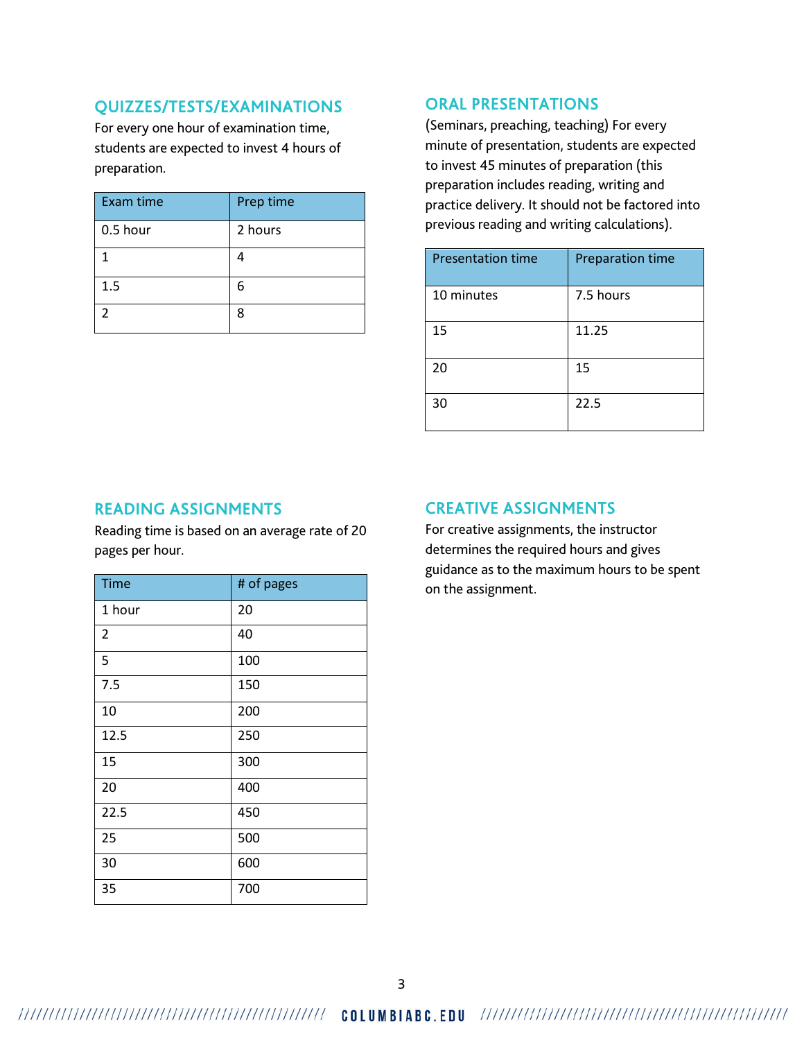#### QUIZZES/TESTS/EXAMINATIONS

For every one hour of examination time, students are expected to invest 4 hours of preparation.

| <b>Exam time</b> | Prep time |
|------------------|-----------|
| 0.5 hour         | 2 hours   |
| 1                |           |
| 1.5              | 6         |
|                  | 8         |

#### ORAL PRESENTATIONS

(Seminars, preaching, teaching) For every minute of presentation, students are expected to invest 45 minutes of preparation (this preparation includes reading, writing and practice delivery. It should not be factored into previous reading and writing calculations).

| <b>Presentation time</b> | <b>Preparation time</b> |
|--------------------------|-------------------------|
| 10 minutes               | 7.5 hours               |
| 15                       | 11.25                   |
| 20                       | 15                      |
| 30                       | 22.5                    |

#### READING ASSIGNMENTS

Reading time is based on an average rate of 20 pages per hour.

| <b>Time</b>    | # of pages |
|----------------|------------|
| 1 hour         | 20         |
| $\overline{2}$ | 40         |
| 5              | 100        |
| 7.5            | 150        |
| 10             | 200        |
| 12.5           | 250        |
| 15             | 300        |
| 20             | 400        |
| 22.5           | 450        |
| 25             | 500        |
| 30             | 600        |
| 35             | 700        |

#### CREATIVE ASSIGNMENTS

For creative assignments, the instructor determines the required hours and gives guidance as to the maximum hours to be spent on the assignment.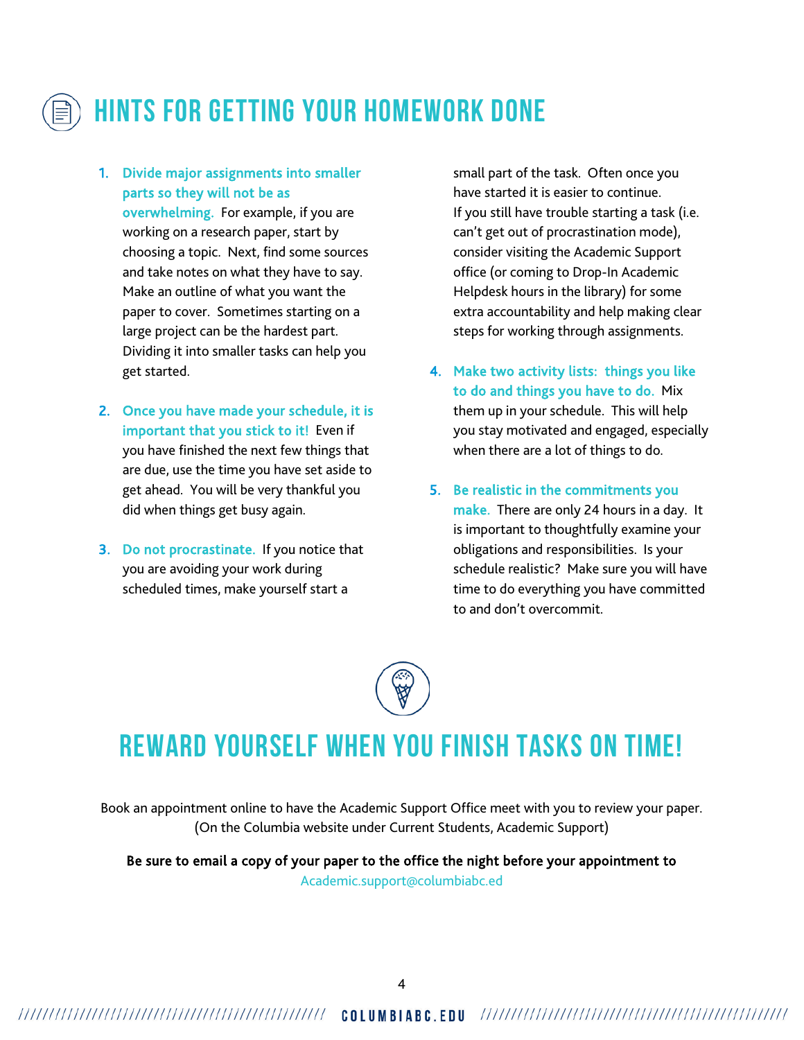

# **Hints for Getting Your Homework Done**

1. Divide major assignments into smaller parts so they will not be as

overwhelming. For example, if you are working on a research paper, start by choosing a topic. Next, find some sources and take notes on what they have to say. Make an outline of what you want the paper to cover. Sometimes starting on a large project can be the hardest part. Dividing it into smaller tasks can help you get started.

- 2. Once you have made your schedule, it is important that you stick to it! Even if you have finished the next few things that are due, use the time you have set aside to get ahead. You will be very thankful you did when things get busy again.
- 3. Do not procrastinate. If you notice that you are avoiding your work during scheduled times, make yourself start a

small part of the task. Often once you have started it is easier to continue. If you still have trouble starting a task (i.e. can't get out of procrastination mode), consider visiting the Academic Support office (or coming to Drop-In Academic Helpdesk hours in the library) for some extra accountability and help making clear steps for working through assignments.

- 4. Make two activity lists: things you like to do and things you have to do. Mix them up in your schedule. This will help you stay motivated and engaged, especially when there are a lot of things to do.
- 5. Be realistic in the commitments you make. There are only 24 hours in a day. It is important to thoughtfully examine your obligations and responsibilities. Is your schedule realistic? Make sure you will have time to do everything you have committed to and don't overcommit.

## **Reward yourself when you finish tasks on time!**

Book an appointment online to have the Academic Support Office meet with you to review your paper. (On the Columbia website under Current Students, Academic Support)

Be sure to email a copy of your paper to the office the night before your appointment to Academic.support@columbiabc.ed